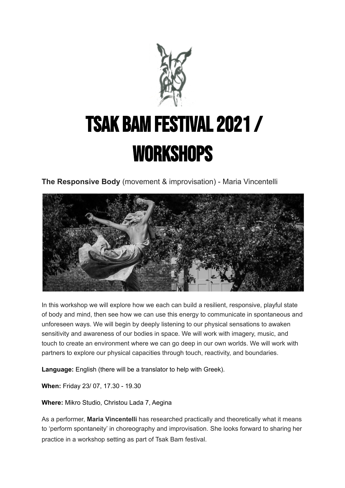

## TSAK BAM FESTIVAL 2021 / workshops

**The Responsive Body** (movement & improvisation) - Maria Vincentelli



In this workshop we will explore how we each can build a resilient, responsive, playful state of body and mind, then see how we can use this energy to communicate in spontaneous and unforeseen ways. We will begin by deeply listening to our physical sensations to awaken sensitivity and awareness of our bodies in space. We will work with imagery, music, and touch to create an environment where we can go deep in our own worlds. We will work with partners to explore our physical capacities through touch, reactivity, and boundaries.

**Language:** English (there will be a translator to help with Greek).

**When:** Friday 23/ 07, 17.30 - 19.30

**Where:** Mikro Studio, Christou Lada 7, Aegina

As a performer, **Maria Vincentelli** has researched practically and theoretically what it means to 'perform spontaneity' in choreography and improvisation. She looks forward to sharing her practice in a workshop setting as part of Tsak Bam festival.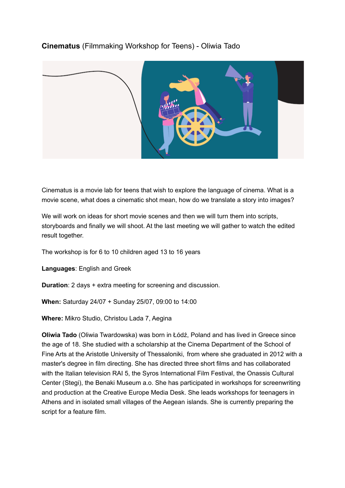## **Cinematus** (Filmmaking Workshop for Teens) - Oliwia Tado



Cinematus is a movie lab for teens that wish to explore the language of cinema. What is a movie scene, what does a cinematic shot mean, how do we translate a story into images?

We will work on ideas for short movie scenes and then we will turn them into scripts, storyboards and finally we will shoot. At the last meeting we will gather to watch the edited result together.

The workshop is for 6 to 10 children aged 13 to 16 years

**Languages**: English and Greek

**Duration**: 2 days + extra meeting for screening and discussion.

**When:** Saturday 24/07 + Sunday 25/07, 09:00 to 14:00

**Where:** Mikro Studio, Christou Lada 7, Aegina

**Oliwia Tado** (Oliwia Twardowska) was born in Łódź, Poland and has lived in Greece since the age of 18. She studied with a scholarship at the Cinema Department of the School of Fine Arts at the Aristotle University of Thessaloniki, from where she graduated in 2012 with a master's degree in film directing. She has directed three short films and has collaborated with the Italian television RAI 5, the Syros International Film Festival, the Onassis Cultural Center (Stegi), the Benaki Museum a.o. She has participated in workshops for screenwriting and production at the Creative Europe Media Desk. She leads workshops for teenagers in Athens and in isolated small villages of the Aegean islands. She is currently preparing the script for a feature film.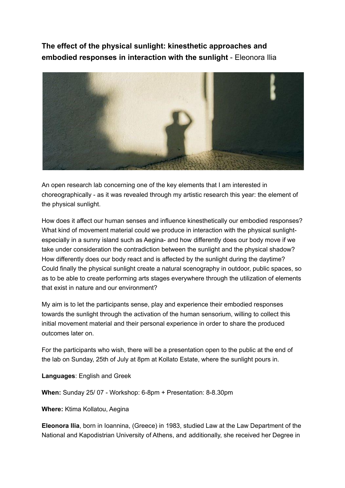**The effect of the physical sunlight: kinesthetic approaches and embodied responses in interaction with the sunlight** - Eleonora Ilia



An open research lab concerning one of the key elements that I am interested in choreographically - as it was revealed through my artistic research this year: the element of the physical sunlight.

How does it affect our human senses and influence kinesthetically our embodied responses? What kind of movement material could we produce in interaction with the physical sunlightespecially in a sunny island such as Aegina- and how differently does our body move if we take under consideration the contradiction between the sunlight and the physical shadow? How differently does our body react and is affected by the sunlight during the daytime? Could finally the physical sunlight create a natural scenography in outdoor, public spaces, so as to be able to create performing arts stages everywhere through the utilization of elements that exist in nature and our environment?

My aim is to let the participants sense, play and experience their embodied responses towards the sunlight through the activation of the human sensorium, willing to collect this initial movement material and their personal experience in order to share the produced outcomes later on.

For the participants who wish, there will be a presentation open to the public at the end of the lab on Sunday, 25th of July at 8pm at Kollato Estate, where the sunlight pours in.

**Languages**: English and Greek

**When:** Sunday 25/ 07 - Workshop: 6-8pm + Presentation: 8-8.30pm

**Where:** Ktima Kollatou, Aegina

**Eleonora Ilia**, born in Ioannina, (Greece) in 1983, studied Law at the Law Department of the National and Kapodistrian University of Athens, and additionally, she received her Degree in